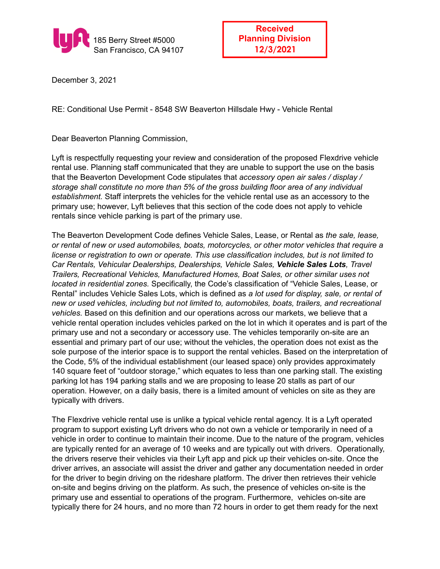

December 3, 2021

RE: Conditional Use Permit - 8548 SW Beaverton Hillsdale Hwy - Vehicle Rental

Dear Beaverton Planning Commission,

Lyft is respectfully requesting your review and consideration of the proposed Flexdrive vehicle rental use. Planning staff communicated that they are unable to support the use on the basis that the Beaverton Development Code stipulates that *accessory open air sales / display / storage shall constitute no more than 5% of the gross building floor area of any individual establishment.* Staff interprets the vehicles for the vehicle rental use as an accessory to the primary use; however, Lyft believes that this section of the code does not apply to vehicle rentals since vehicle parking is part of the primary use.

The Beaverton Development Code defines Vehicle Sales, Lease, or Rental as *the sale, lease, or rental of new or used automobiles, boats, motorcycles, or other motor vehicles that require a license or registration to own or operate. This use classification includes, but is not limited to Car Rentals, Vehicular Dealerships, Dealerships, Vehicle Sales, Vehicle Sales Lots, Travel Trailers, Recreational Vehicles, Manufactured Homes, Boat Sales, or other similar uses not located in residential zones.* Specifically, the Code's classification of "Vehicle Sales, Lease, or Rental" includes Vehicle Sales Lots, which is defined as *a lot used for display, sale, or rental of new or used vehicles, including but not limited to, automobiles, boats, trailers, and recreational vehicles.* Based on this definition and our operations across our markets, we believe that a vehicle rental operation includes vehicles parked on the lot in which it operates and is part of the primary use and not a secondary or accessory use. The vehicles temporarily on-site are an essential and primary part of our use; without the vehicles, the operation does not exist as the sole purpose of the interior space is to support the rental vehicles. Based on the interpretation of the Code, 5% of the individual establishment (our leased space) only provides approximately 140 square feet of "outdoor storage," which equates to less than one parking stall. The existing parking lot has 194 parking stalls and we are proposing to lease 20 stalls as part of our operation. However, on a daily basis, there is a limited amount of vehicles on site as they are typically with drivers.

The Flexdrive vehicle rental use is unlike a typical vehicle rental agency. It is a Lyft operated program to support existing Lyft drivers who do not own a vehicle or temporarily in need of a vehicle in order to continue to maintain their income. Due to the nature of the program, vehicles are typically rented for an average of 10 weeks and are typically out with drivers. Operationally, the drivers reserve their vehicles via their Lyft app and pick up their vehicles on-site. Once the driver arrives, an associate will assist the driver and gather any documentation needed in order for the driver to begin driving on the rideshare platform. The driver then retrieves their vehicle on-site and begins driving on the platform. As such, the presence of vehicles on-site is the primary use and essential to operations of the program. Furthermore, vehicles on-site are typically there for 24 hours, and no more than 72 hours in order to get them ready for the next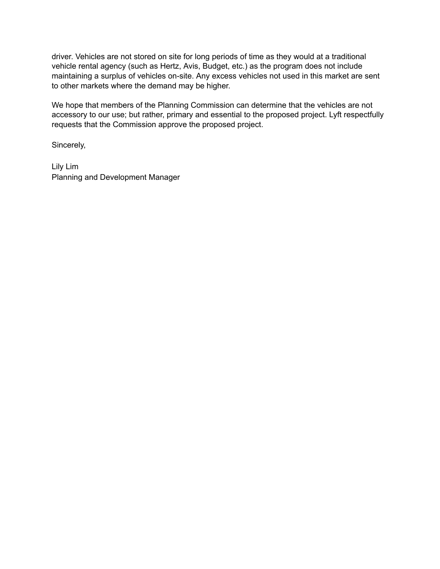driver. Vehicles are not stored on site for long periods of time as they would at a traditional vehicle rental agency (such as Hertz, Avis, Budget, etc.) as the program does not include maintaining a surplus of vehicles on-site. Any excess vehicles not used in this market are sent to other markets where the demand may be higher.

We hope that members of the Planning Commission can determine that the vehicles are not accessory to our use; but rather, primary and essential to the proposed project. Lyft respectfully requests that the Commission approve the proposed project.

Sincerely,

Lily Lim Planning and Development Manager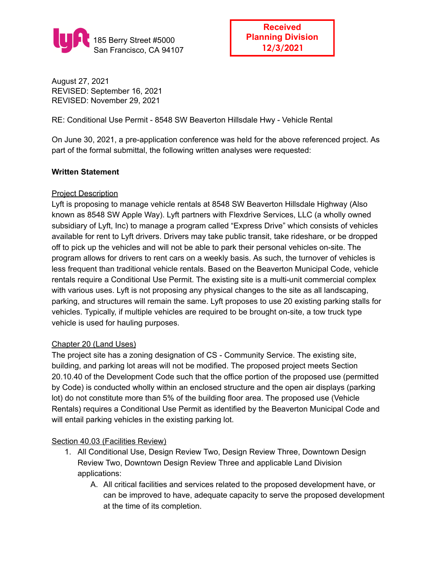

**Received Planning Division 12/3/2021**

August 27, 2021 REVISED: September 16, 2021 REVISED: November 29, 2021

RE: Conditional Use Permit - 8548 SW Beaverton Hillsdale Hwy - Vehicle Rental

On June 30, 2021, a pre-application conference was held for the above referenced project. As part of the formal submittal, the following written analyses were requested:

### **Written Statement**

### Project Description

Lyft is proposing to manage vehicle rentals at 8548 SW Beaverton Hillsdale Highway (Also known as 8548 SW Apple Way). Lyft partners with Flexdrive Services, LLC (a wholly owned subsidiary of Lyft, Inc) to manage a program called "Express Drive" which consists of vehicles available for rent to Lyft drivers. Drivers may take public transit, take rideshare, or be dropped off to pick up the vehicles and will not be able to park their personal vehicles on-site. The program allows for drivers to rent cars on a weekly basis. As such, the turnover of vehicles is less frequent than traditional vehicle rentals. Based on the Beaverton Municipal Code, vehicle rentals require a Conditional Use Permit. The existing site is a multi-unit commercial complex with various uses. Lyft is not proposing any physical changes to the site as all landscaping, parking, and structures will remain the same. Lyft proposes to use 20 existing parking stalls for vehicles. Typically, if multiple vehicles are required to be brought on-site, a tow truck type vehicle is used for hauling purposes.

#### Chapter 20 (Land Uses)

The project site has a zoning designation of CS - Community Service. The existing site, building, and parking lot areas will not be modified. The proposed project meets Section 20.10.40 of the Development Code such that the office portion of the proposed use (permitted by Code) is conducted wholly within an enclosed structure and the open air displays (parking lot) do not constitute more than 5% of the building floor area. The proposed use (Vehicle Rentals) requires a Conditional Use Permit as identified by the Beaverton Municipal Code and will entail parking vehicles in the existing parking lot.

#### Section 40.03 (Facilities Review)

- 1. All Conditional Use, Design Review Two, Design Review Three, Downtown Design Review Two, Downtown Design Review Three and applicable Land Division applications:
	- A. All critical facilities and services related to the proposed development have, or can be improved to have, adequate capacity to serve the proposed development at the time of its completion.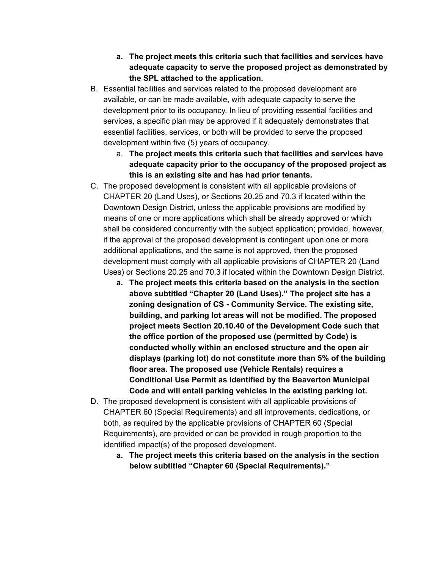- **a. The project meets this criteria such that facilities and services have adequate capacity to serve the proposed project as demonstrated by the SPL attached to the application.**
- B. Essential facilities and services related to the proposed development are available, or can be made available, with adequate capacity to serve the development prior to its occupancy. In lieu of providing essential facilities and services, a specific plan may be approved if it adequately demonstrates that essential facilities, services, or both will be provided to serve the proposed development within five (5) years of occupancy.
	- a. **The project meets this criteria such that facilities and services have adequate capacity prior to the occupancy of the proposed project as this is an existing site and has had prior tenants.**
- C. The proposed development is consistent with all applicable provisions of CHAPTER 20 (Land Uses), or Sections 20.25 and 70.3 if located within the Downtown Design District, unless the applicable provisions are modified by means of one or more applications which shall be already approved or which shall be considered concurrently with the subject application; provided, however, if the approval of the proposed development is contingent upon one or more additional applications, and the same is not approved, then the proposed development must comply with all applicable provisions of CHAPTER 20 (Land Uses) or Sections 20.25 and 70.3 if located within the Downtown Design District.
	- **a. The project meets this criteria based on the analysis in the section above subtitled "Chapter 20 (Land Uses)." The project site has a zoning designation of CS - Community Service. The existing site, building, and parking lot areas will not be modified. The proposed project meets Section 20.10.40 of the Development Code such that the office portion of the proposed use (permitted by Code) is conducted wholly within an enclosed structure and the open air displays (parking lot) do not constitute more than 5% of the building floor area. The proposed use (Vehicle Rentals) requires a Conditional Use Permit as identified by the Beaverton Municipal Code and will entail parking vehicles in the existing parking lot.**
- D. The proposed development is consistent with all applicable provisions of CHAPTER 60 (Special Requirements) and all improvements, dedications, or both, as required by the applicable provisions of CHAPTER 60 (Special Requirements), are provided or can be provided in rough proportion to the identified impact(s) of the proposed development.
	- **a. The project meets this criteria based on the analysis in the section below subtitled "Chapter 60 (Special Requirements)."**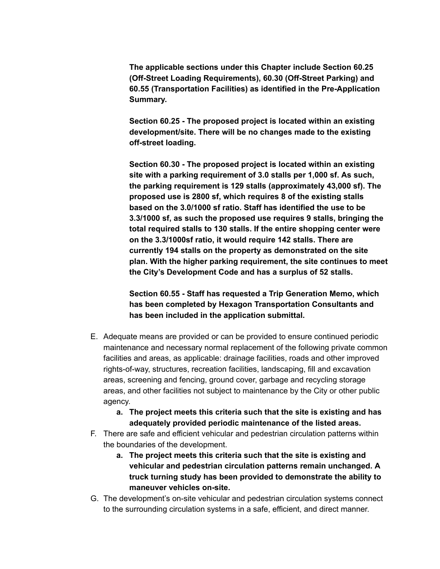**The applicable sections under this Chapter include Section 60.25 (Off-Street Loading Requirements), 60.30 (Off-Street Parking) and 60.55 (Transportation Facilities) as identified in the Pre-Application Summary.**

**Section 60.25 - The proposed project is located within an existing development/site. There will be no changes made to the existing off-street loading.**

**Section 60.30 - The proposed project is located within an existing site with a parking requirement of 3.0 stalls per 1,000 sf. As such, the parking requirement is 129 stalls (approximately 43,000 sf). The proposed use is 2800 sf, which requires 8 of the existing stalls based on the 3.0/1000 sf ratio. Staff has identified the use to be 3.3/1000 sf, as such the proposed use requires 9 stalls, bringing the total required stalls to 130 stalls. If the entire shopping center were on the 3.3/1000sf ratio, it would require 142 stalls. There are currently 194 stalls on the property as demonstrated on the site plan. With the higher parking requirement, the site continues to meet the City's Development Code and has a surplus of 52 stalls.**

**Section 60.55 - Staff has requested a Trip Generation Memo, which has been completed by Hexagon Transportation Consultants and has been included in the application submittal.**

- E. Adequate means are provided or can be provided to ensure continued periodic maintenance and necessary normal replacement of the following private common facilities and areas, as applicable: drainage facilities, roads and other improved rights-of-way, structures, recreation facilities, landscaping, fill and excavation areas, screening and fencing, ground cover, garbage and recycling storage areas, and other facilities not subject to maintenance by the City or other public agency.
	- **a. The project meets this criteria such that the site is existing and has adequately provided periodic maintenance of the listed areas.**
- F. There are safe and efficient vehicular and pedestrian circulation patterns within the boundaries of the development.
	- **a. The project meets this criteria such that the site is existing and vehicular and pedestrian circulation patterns remain unchanged. A truck turning study has been provided to demonstrate the ability to maneuver vehicles on-site.**
- G. The development's on-site vehicular and pedestrian circulation systems connect to the surrounding circulation systems in a safe, efficient, and direct manner.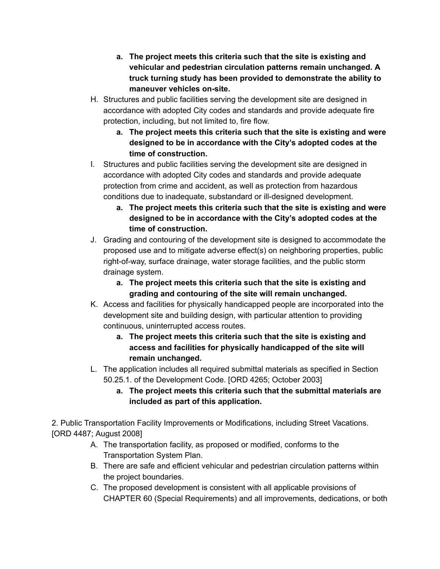- **a. The project meets this criteria such that the site is existing and vehicular and pedestrian circulation patterns remain unchanged. A truck turning study has been provided to demonstrate the ability to maneuver vehicles on-site.**
- H. Structures and public facilities serving the development site are designed in accordance with adopted City codes and standards and provide adequate fire protection, including, but not limited to, fire flow.
	- **a. The project meets this criteria such that the site is existing and were designed to be in accordance with the City's adopted codes at the time of construction.**
- I. Structures and public facilities serving the development site are designed in accordance with adopted City codes and standards and provide adequate protection from crime and accident, as well as protection from hazardous conditions due to inadequate, substandard or ill-designed development.
	- **a. The project meets this criteria such that the site is existing and were designed to be in accordance with the City's adopted codes at the time of construction.**
- J. Grading and contouring of the development site is designed to accommodate the proposed use and to mitigate adverse effect(s) on neighboring properties, public right-of-way, surface drainage, water storage facilities, and the public storm drainage system.
	- **a. The project meets this criteria such that the site is existing and grading and contouring of the site will remain unchanged.**
- K. Access and facilities for physically handicapped people are incorporated into the development site and building design, with particular attention to providing continuous, uninterrupted access routes.
	- **a. The project meets this criteria such that the site is existing and access and facilities for physically handicapped of the site will remain unchanged.**
- L. The application includes all required submittal materials as specified in Section 50.25.1. of the Development Code. [ORD 4265; October 2003]
	- **a. The project meets this criteria such that the submittal materials are included as part of this application.**

2. Public Transportation Facility Improvements or Modifications, including Street Vacations. [ORD 4487; August 2008]

- A. The transportation facility, as proposed or modified, conforms to the Transportation System Plan.
- B. There are safe and efficient vehicular and pedestrian circulation patterns within the project boundaries.
- C. The proposed development is consistent with all applicable provisions of CHAPTER 60 (Special Requirements) and all improvements, dedications, or both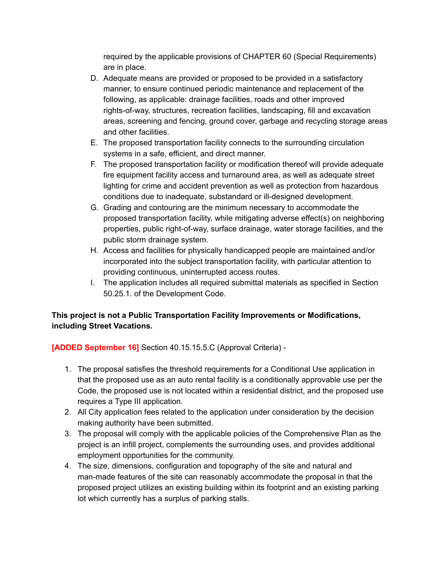required by the applicable provisions of CHAPTER 60 (Special Requirements) are in place.

- D. Adequate means are provided or proposed to be provided in a satisfactory manner, to ensure continued periodic maintenance and replacement of the following, as applicable: drainage facilities, roads and other improved rights-of-way, structures, recreation facilities, landscaping, fill and excavation areas, screening and fencing, ground cover, garbage and recycling storage areas and other facilities.
- E. The proposed transportation facility connects to the surrounding circulation systems in a safe, efficient, and direct manner.
- F. The proposed transportation facility or modification thereof will provide adequate fire equipment facility access and turnaround area, as well as adequate street lighting for crime and accident prevention as well as protection from hazardous conditions due to inadequate, substandard or ill-designed development.
- G. Grading and contouring are the minimum necessary to accommodate the proposed transportation facility, while mitigating adverse effect(s) on neighboring properties, public right-of-way, surface drainage, water storage facilities, and the public storm drainage system.
- H. Access and facilities for physically handicapped people are maintained and/or incorporated into the subject transportation facility, with particular attention to providing continuous, uninterrupted access routes.
- I. The application includes all required submittal materials as specified in Section 50.25.1. of the Development Code.

# **This project is not a Public Transportation Facility Improvements or Modifications, including Street Vacations.**

**[ADDED September 16]** Section 40.15.15.5.C (Approval Criteria) -

- 1. The proposal satisfies the threshold requirements for a Conditional Use application in that the proposed use as an auto rental facility is a conditionally approvable use per the Code, the proposed use is not located within a residential district, and the proposed use requires a Type III application.
- 2. All City application fees related to the application under consideration by the decision making authority have been submitted.
- 3. The proposal will comply with the applicable policies of the Comprehensive Plan as the project is an infill project, complements the surrounding uses, and provides additional employment opportunities for the community.
- 4. The size, dimensions, configuration and topography of the site and natural and man-made features of the site can reasonably accommodate the proposal in that the proposed project utilizes an existing building within its footprint and an existing parking lot which currently has a surplus of parking stalls.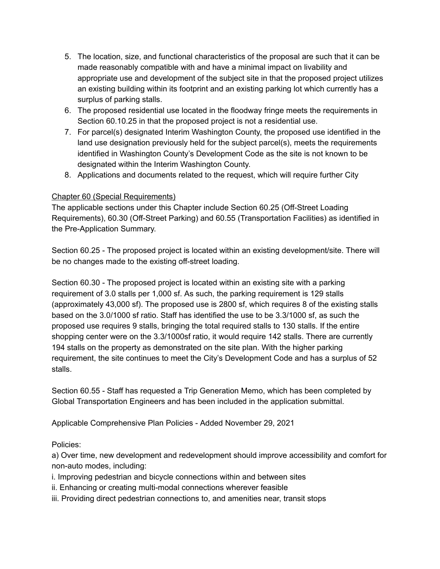- 5. The location, size, and functional characteristics of the proposal are such that it can be made reasonably compatible with and have a minimal impact on livability and appropriate use and development of the subject site in that the proposed project utilizes an existing building within its footprint and an existing parking lot which currently has a surplus of parking stalls.
- 6. The proposed residential use located in the floodway fringe meets the requirements in Section 60.10.25 in that the proposed project is not a residential use.
- 7. For parcel(s) designated Interim Washington County, the proposed use identified in the land use designation previously held for the subject parcel(s), meets the requirements identified in Washington County's Development Code as the site is not known to be designated within the Interim Washington County.
- 8. Applications and documents related to the request, which will require further City

## Chapter 60 (Special Requirements)

The applicable sections under this Chapter include Section 60.25 (Off-Street Loading Requirements), 60.30 (Off-Street Parking) and 60.55 (Transportation Facilities) as identified in the Pre-Application Summary.

Section 60.25 - The proposed project is located within an existing development/site. There will be no changes made to the existing off-street loading.

Section 60.30 - The proposed project is located within an existing site with a parking requirement of 3.0 stalls per 1,000 sf. As such, the parking requirement is 129 stalls (approximately 43,000 sf). The proposed use is 2800 sf, which requires 8 of the existing stalls based on the 3.0/1000 sf ratio. Staff has identified the use to be 3.3/1000 sf, as such the proposed use requires 9 stalls, bringing the total required stalls to 130 stalls. If the entire shopping center were on the 3.3/1000sf ratio, it would require 142 stalls. There are currently 194 stalls on the property as demonstrated on the site plan. With the higher parking requirement, the site continues to meet the City's Development Code and has a surplus of 52 stalls.

Section 60.55 - Staff has requested a Trip Generation Memo, which has been completed by Global Transportation Engineers and has been included in the application submittal.

Applicable Comprehensive Plan Policies - Added November 29, 2021

Policies:

a) Over time, new development and redevelopment should improve accessibility and comfort for non-auto modes, including:

i. Improving pedestrian and bicycle connections within and between sites

- ii. Enhancing or creating multi-modal connections wherever feasible
- iii. Providing direct pedestrian connections to, and amenities near, transit stops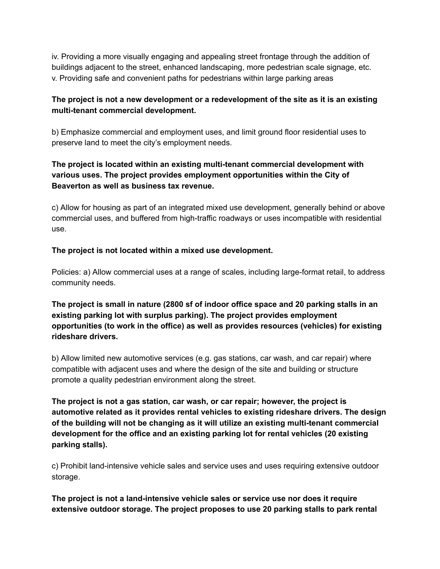iv. Providing a more visually engaging and appealing street frontage through the addition of buildings adjacent to the street, enhanced landscaping, more pedestrian scale signage, etc. v. Providing safe and convenient paths for pedestrians within large parking areas

## **The project is not a new development or a redevelopment of the site as it is an existing multi-tenant commercial development.**

b) Emphasize commercial and employment uses, and limit ground floor residential uses to preserve land to meet the city's employment needs.

# **The project is located within an existing multi-tenant commercial development with various uses. The project provides employment opportunities within the City of Beaverton as well as business tax revenue.**

c) Allow for housing as part of an integrated mixed use development, generally behind or above commercial uses, and buffered from high-traffic roadways or uses incompatible with residential use.

# **The project is not located within a mixed use development.**

Policies: a) Allow commercial uses at a range of scales, including large-format retail, to address community needs.

**The project is small in nature (2800 sf of indoor office space and 20 parking stalls in an existing parking lot with surplus parking). The project provides employment opportunities (to work in the office) as well as provides resources (vehicles) for existing rideshare drivers.**

b) Allow limited new automotive services (e.g. gas stations, car wash, and car repair) where compatible with adjacent uses and where the design of the site and building or structure promote a quality pedestrian environment along the street.

**The project is not a gas station, car wash, or car repair; however, the project is automotive related as it provides rental vehicles to existing rideshare drivers. The design of the building will not be changing as it will utilize an existing multi-tenant commercial development for the office and an existing parking lot for rental vehicles (20 existing parking stalls).**

c) Prohibit land-intensive vehicle sales and service uses and uses requiring extensive outdoor storage.

**The project is not a land-intensive vehicle sales or service use nor does it require extensive outdoor storage. The project proposes to use 20 parking stalls to park rental**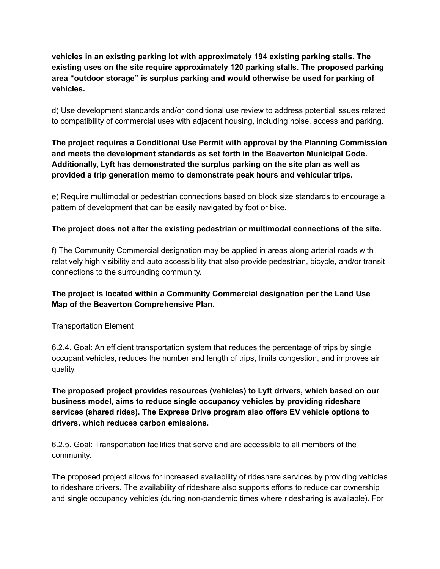**vehicles in an existing parking lot with approximately 194 existing parking stalls. The existing uses on the site require approximately 120 parking stalls. The proposed parking area "outdoor storage" is surplus parking and would otherwise be used for parking of vehicles.**

d) Use development standards and/or conditional use review to address potential issues related to compatibility of commercial uses with adjacent housing, including noise, access and parking.

# **The project requires a Conditional Use Permit with approval by the Planning Commission and meets the development standards as set forth in the Beaverton Municipal Code. Additionally, Lyft has demonstrated the surplus parking on the site plan as well as provided a trip generation memo to demonstrate peak hours and vehicular trips.**

e) Require multimodal or pedestrian connections based on block size standards to encourage a pattern of development that can be easily navigated by foot or bike.

## **The project does not alter the existing pedestrian or multimodal connections of the site.**

f) The Community Commercial designation may be applied in areas along arterial roads with relatively high visibility and auto accessibility that also provide pedestrian, bicycle, and/or transit connections to the surrounding community.

# **The project is located within a Community Commercial designation per the Land Use Map of the Beaverton Comprehensive Plan.**

Transportation Element

6.2.4. Goal: An efficient transportation system that reduces the percentage of trips by single occupant vehicles, reduces the number and length of trips, limits congestion, and improves air quality.

**The proposed project provides resources (vehicles) to Lyft drivers, which based on our business model, aims to reduce single occupancy vehicles by providing rideshare services (shared rides). The Express Drive program also offers EV vehicle options to drivers, which reduces carbon emissions.**

6.2.5. Goal: Transportation facilities that serve and are accessible to all members of the community.

The proposed project allows for increased availability of rideshare services by providing vehicles to rideshare drivers. The availability of rideshare also supports efforts to reduce car ownership and single occupancy vehicles (during non-pandemic times where ridesharing is available). For